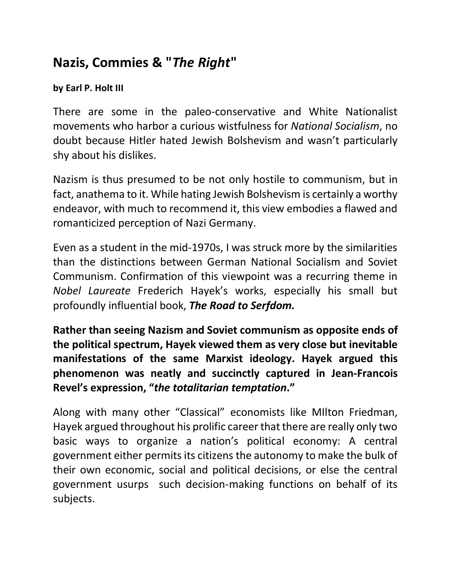## **Nazis, Commies & "***The Right***"**

## **by Earl P. Holt III**

There are some in the paleo-conservative and White Nationalist movements who harbor a curious wistfulness for *National Socialism*, no doubt because Hitler hated Jewish Bolshevism and wasn't particularly shy about his dislikes.

Nazism is thus presumed to be not only hostile to communism, but in fact, anathema to it. While hating Jewish Bolshevism is certainly a worthy endeavor, with much to recommend it, this view embodies a flawed and romanticized perception of Nazi Germany.

Even as a student in the mid-1970s, I was struck more by the similarities than the distinctions between German National Socialism and Soviet Communism. Confirmation of this viewpoint was a recurring theme in *Nobel Laureate* Frederich Hayek's works, especially his small but profoundly influential book, *The Road to Serfdom.* 

**Rather than seeing Nazism and Soviet communism as opposite ends of the political spectrum, Hayek viewed them as very close but inevitable manifestations of the same Marxist ideology. Hayek argued this phenomenon was neatly and succinctly captured in Jean-Francois Revel's expression, "***the totalitarian temptation***."** 

Along with many other "Classical" economists like MIlton Friedman, Hayek argued throughout his prolific career that there are really only two basic ways to organize a nation's political economy: A central government either permitsits citizens the autonomy to make the bulk of their own economic, social and political decisions, or else the central government usurps such decision-making functions on behalf of its subjects.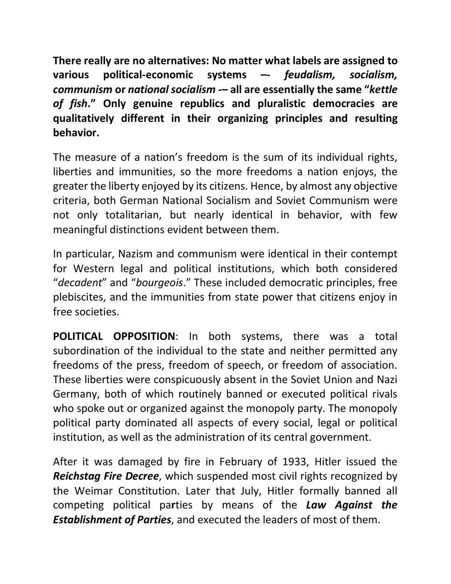**There really are no alternatives: No matter what labels are assigned to various political-economic systems –-** *feudalism, socialism, communism* **or** *national socialism* **-– all are essentially the same "***kettle of fish***." Only genuine republics and pluralistic democracies are qualitatively different in their organizing principles and resulting behavior.** 

The measure of a nation's freedom is the sum of its individual rights, liberties and immunities, so the more freedoms a nation enjoys, the greater the liberty enjoyed by its citizens. Hence, by almost any objective criteria, both German National Socialism and Soviet Communism were not only totalitarian, but nearly identical in behavior, with few meaningful distinctions evident between them.

In particular, Nazism and communism were identical in their contempt for Western legal and political institutions, which both considered "*decadent*" and "*bourgeois*." These included democratic principles, free plebiscites, and the immunities from state power that citizens enjoy in free societies.

**POLITICAL OPPOSITION**: In both systems, there was a total subordination of the individual to the state and neither permitted any freedoms of the press, freedom of speech, or freedom of association. These liberties were conspicuously absent in the Soviet Union and Nazi Germany, both of which routinely banned or executed political rivals who spoke out or organized against the monopoly party. The monopoly political party dominated all aspects of every social, legal or political institution, as well as the administration of its central government.

After it was damaged by fire in February of 1933, Hitler issued the *Reichstag Fire Decree*, which suspended most civil rights recognized by the Weimar Constitution. Later that July, Hitler formally banned all competing political pa**r**ties by means of the *Law Against the Establishment of Parties*, and executed the leaders of most of them.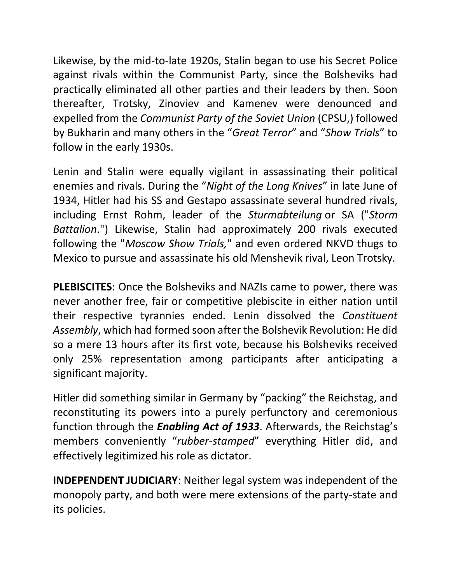Likewise, by the mid-to-late 1920s, Stalin began to use his Secret Police against rivals within the Communist Party, since the Bolsheviks had practically eliminated all other parties and their leaders by then. Soon thereafter, Trotsky, Zinoviev and Kamenev were denounced and expelled from the *Communist Party of the Soviet Union* (CPSU,) followed by Bukharin and many others in the "*Great Terror*" and "*Show Trials*" to follow in the early 1930s.

Lenin and Stalin were equally vigilant in assassinating their political enemies and rivals. During the "*Night of the Long Knives*" in late June of 1934, Hitler had his SS and Gestapo assassinate several hundred rivals, including Ernst Rohm, leader of the *Sturmabteilung* or SA ("*Storm Battalion*.") Likewise, Stalin had approximately 200 rivals executed following the "*Moscow Show Trials,*" and even ordered NKVD thugs to Mexico to pursue and assassinate his old Menshevik rival, Leon Trotsky.

**PLEBISCITES**: Once the Bolsheviks and NAZIs came to power, there was never another free, fair or competitive plebiscite in either nation until their respective tyrannies ended. Lenin dissolved the *Constituent Assembly*, which had formed soon after the Bolshevik Revolution: He did so a mere 13 hours after its first vote, because his Bolsheviks received only 25% representation among participants after anticipating a significant majority.

Hitler did something similar in Germany by "packing" the Reichstag, and reconstituting its powers into a purely perfunctory and ceremonious function through the *Enabling Act of 1933*. Afterwards, the Reichstag's members conveniently "*rubber-stamped*" everything Hitler did, and effectively legitimized his role as dictator.

**INDEPENDENT JUDICIARY**: Neither legal system was independent of the monopoly party, and both were mere extensions of the party-state and its policies.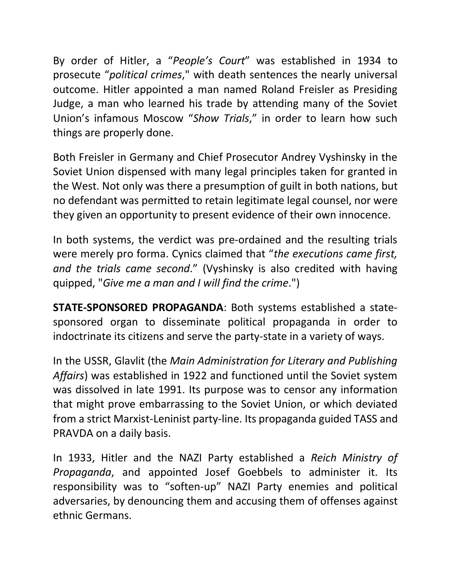By order of Hitler, a "*People's Court*" was established in 1934 to prosecute "*political crimes*," with death sentences the nearly universal outcome. Hitler appointed a man named Roland Freisler as Presiding Judge, a man who learned his trade by attending many of the Soviet Union's infamous Moscow "*Show Trials*," in order to learn how such things are properly done.

Both Freisler in Germany and Chief Prosecutor Andrey Vyshinsky in the Soviet Union dispensed with many legal principles taken for granted in the West. Not only was there a presumption of guilt in both nations, but no defendant was permitted to retain legitimate legal counsel, nor were they given an opportunity to present evidence of their own innocence.

In both systems, the verdict was pre-ordained and the resulting trials were merely pro forma. Cynics claimed that "*the executions came first, and the trials came second*." (Vyshinsky is also credited with having quipped, "*Give me a man and I will find the crime*.")

**STATE-SPONSORED PROPAGANDA**: Both systems established a statesponsored organ to disseminate political propaganda in order to indoctrinate its citizens and serve the party-state in a variety of ways.

In the USSR, Glavlit (the *Main Administration for Literary and Publishing Affairs*) was established in 1922 and functioned until the Soviet system was dissolved in late 1991. Its purpose was to censor any information that might prove embarrassing to the Soviet Union, or which deviated from a strict Marxist-Leninist party-line. Its propaganda guided TASS and PRAVDA on a daily basis.

In 1933, Hitler and the NAZI Party established a *Reich Ministry of Propaganda*, and appointed Josef Goebbels to administer it. Its responsibility was to "soften-up" NAZI Party enemies and political adversaries, by denouncing them and accusing them of offenses against ethnic Germans.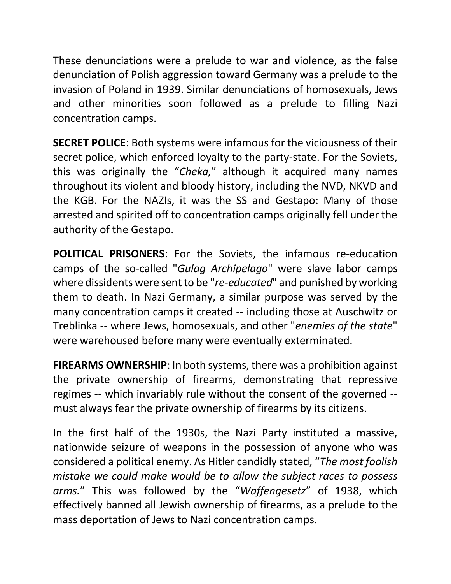These denunciations were a prelude to war and violence, as the false denunciation of Polish aggression toward Germany was a prelude to the invasion of Poland in 1939. Similar denunciations of homosexuals, Jews and other minorities soon followed as a prelude to filling Nazi concentration camps.

**SECRET POLICE**: Both systems were infamous for the viciousness of their secret police, which enforced loyalty to the party-state. For the Soviets, this was originally the "*Cheka,*" although it acquired many names throughout its violent and bloody history, including the NVD, NKVD and the KGB. For the NAZIs, it was the SS and Gestapo: Many of those arrested and spirited off to concentration camps originally fell under the authority of the Gestapo.

**POLITICAL PRISONERS**: For the Soviets, the infamous re-education camps of the so-called "*Gulag Archipelago*" were slave labor camps where dissidents were sent to be "*re-educated*" and punished by working them to death. In Nazi Germany, a similar purpose was served by the many concentration camps it created -- including those at Auschwitz or Treblinka -- where Jews, homosexuals, and other "*enemies of the state*" were warehoused before many were eventually exterminated.

**FIREARMS OWNERSHIP**: In both systems, there was a prohibition against the private ownership of firearms, demonstrating that repressive regimes -- which invariably rule without the consent of the governed - must always fear the private ownership of firearms by its citizens.

In the first half of the 1930s, the Nazi Party instituted a massive, nationwide seizure of weapons in the possession of anyone who was considered a political enemy. As Hitler candidly stated, "*The most foolish mistake we could make would be to allow the subject races to possess arms.*" This was followed by the "*Waffengesetz*" of 1938, which effectively banned all Jewish ownership of firearms, as a prelude to the mass deportation of Jews to Nazi concentration camps.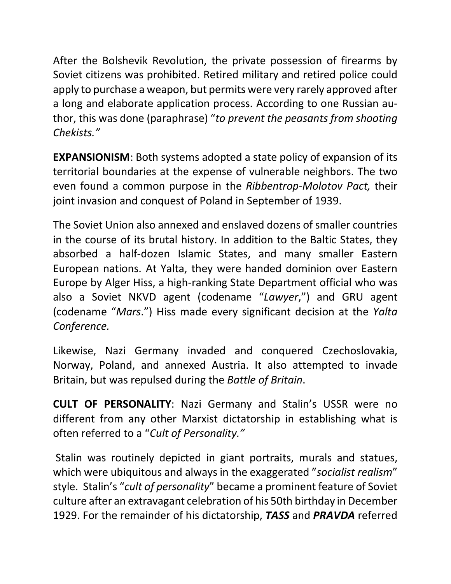After the Bolshevik Revolution, the private possession of firearms by Soviet citizens was prohibited. Retired military and retired police could apply to purchase a weapon, but permits were very rarely approved after a long and elaborate application process. According to one Russian author, this was done (paraphrase) "*to prevent the peasants from shooting Chekists."* 

**EXPANSIONISM**: Both systems adopted a state policy of expansion of its territorial boundaries at the expense of vulnerable neighbors. The two even found a common purpose in the *Ribbentrop-Molotov Pact,* their joint invasion and conquest of Poland in September of 1939.

The Soviet Union also annexed and enslaved dozens of smaller countries in the course of its brutal history. In addition to the Baltic States, they absorbed a half-dozen Islamic States, and many smaller Eastern European nations. At Yalta, they were handed dominion over Eastern Europe by Alger Hiss, a high-ranking State Department official who was also a Soviet NKVD agent (codename "*Lawyer*,") and GRU agent (codename "*Mars*.") Hiss made every significant decision at the *Yalta Conference.* 

Likewise, Nazi Germany invaded and conquered Czechoslovakia, Norway, Poland, and annexed Austria. It also attempted to invade Britain, but was repulsed during the *Battle of Britain*.

**CULT OF PERSONALITY**: Nazi Germany and Stalin's USSR were no different from any other Marxist dictatorship in establishing what is often referred to a "*Cult of Personality."*

Stalin was routinely depicted in giant portraits, murals and statues, which were ubiquitous and always in the exaggerated "*socialist realism*" style. Stalin's "*cult of personality*" became a prominent feature of Soviet culture after an extravagant celebration of his 50th birthday in December 1929. For the remainder of his dictatorship, *TASS* and *PRAVDA* referred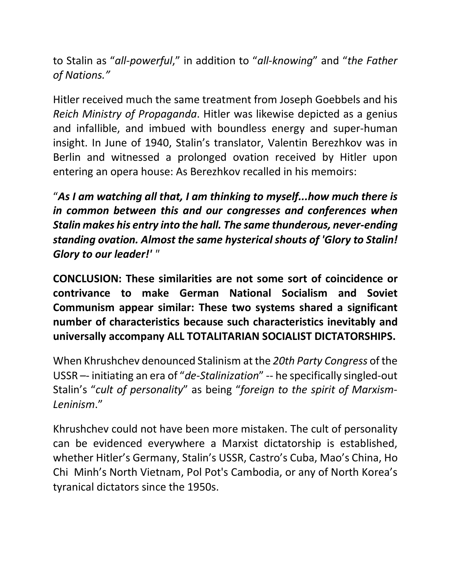to Stalin as "*all-powerful*," in addition to "*all-knowing*" and "*the Father of Nations."* 

Hitler received much the same treatment from Joseph Goebbels and his *Reich Ministry of Propaganda*. Hitler was likewise depicted as a genius and infallible, and imbued with boundless energy and super-human insight. In June of 1940, Stalin's translator, Valentin Berezhkov was in Berlin and witnessed a prolonged ovation received by Hitler upon entering an opera house: As Berezhkov recalled in his memoirs:

"*As I am watching all that, I am thinking to myself...how much there is in common between this and our congresses and conferences when Stalin makes his entry into the hall. The same thunderous, never-ending standing ovation. Almost the same hysterical shouts of 'Glory to Stalin! Glory to our leader!' "*

**CONCLUSION: These similarities are not some sort of coincidence or contrivance to make German National Socialism and Soviet Communism appear similar: These two systems shared a significant number of characteristics because such characteristics inevitably and universally accompany ALL TOTALITARIAN SOCIALIST DICTATORSHIPS.**

When Khrushchev denounced Stalinism at the *20th Party Congress* of the USSR –- initiating an era of "*de-Stalinization*" -- he specifically singled-out Stalin's "*cult of personality*" as being "*foreign to the spirit of Marxism-Leninism*."

Khrushchev could not have been more mistaken. The cult of personality can be evidenced everywhere a Marxist dictatorship is established, whether Hitler's Germany, Stalin's USSR, Castro's Cuba, Mao's China, Ho Chi Minh's North Vietnam, Pol Pot's Cambodia, or any of North Korea's tyranical dictators since the 1950s.